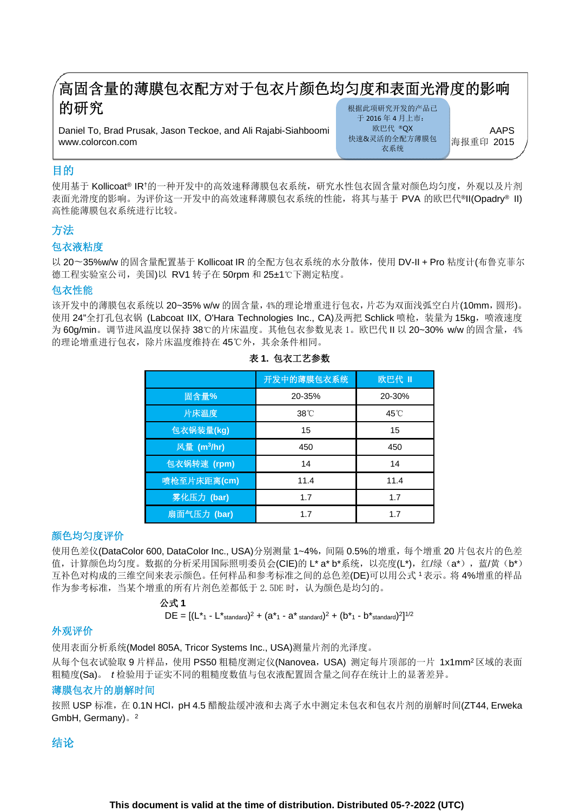# 高固含量的薄膜包衣配方对于包衣片颜色均匀度和表面光滑度的影响 的研究

Daniel To, Brad Prusak, Jason Teckoe, and Ali Rajabi-Siahboomi MERK ®QX MAPS AAPS www.colorcon.com 海报重印 2015

根据此项研究开发的产品已 于 2016 年 4 月上市: 欧巴代 ®QX 快速&灵活的全配方薄膜包 衣系统

# 目的

 $\overline{1}$ 

使用基于 Kollicoat® IR†的一种开发中的高效速释薄膜包衣系统,研究水性包衣固含量对颜色均匀度,外观以及片剂 表面光滑度的影响。为评价这一开发中的高效速释薄膜包衣系统的性能,将其与基于 PVA 的欧巴代®II(Opadry® II) 高性能薄膜包衣系统进行比较。

# 方法

## 包衣液粘度

以 20∼35%w/w 的固含量配置基于 Kollicoat IR 的全配方包衣系统的水分散体, 使用 DV-II + Pro 粘度计(布鲁克菲尔 德工程实验室公司,美国)以 RV1 转子在 50rpm 和 25±1℃下测定粘度。

## 包衣性能

该开发中的薄膜包衣系统以 20~35% w/w 的固含量, 4%的理论增重进行包衣, 片芯为双面浅弧空白片(10mm, 圆形)。 使用 24"全打孔包衣锅 (Labcoat IIX, O'Hara Technologies Inc., CA)及两把 Schlick 喷枪,装量为 15kg,喷液速度 为 60g/min。调节进风温度以保持 38℃的片床温度。其他包衣参数见表 1。欧巴代 II 以 20~30% w/w 的固含量,4% 的理论增重进行包衣,除片床温度维持在 45℃外,其余条件相同。

|                         | 开发中的薄膜包衣系统   | 欧巴代 II |
|-------------------------|--------------|--------|
| 固含量%                    | 20-35%       | 20-30% |
| 片床温度                    | $38^\circ$ C | 45°C   |
| 包衣锅装量(kg)               | 15           | 15     |
| 风量 (m <sup>3</sup> /hr) | 450          | 450    |
| 包衣锅转速 (rpm)             | 14           | 14     |
| 喷枪至片床距离(cm)             | 11.4         | 11.4   |
| 雾化压力 (bar)              | 1.7          | 1.7    |
| 扇面气压力 (bar)             | 1.7          | 1.7    |

#### 表 **1.** 包衣工艺参数

## 颜色均匀度评价

使用色差仪(DataColor 600, DataColor Inc., USA)分别测量 1~4%, 间隔 0.5%的增重, 每个增重 20 片包衣片的色差 值,计算颜色均匀度。数据的分析采用国际照明委员会(CIE)的 L\* a\* b\*系统, 以亮度(L\*), 红/绿 (a\*), 蓝/黄 (b\*) 互补色对构成的三维空间来表示颜色。任何样品和参考标准之间的总色差(DE)可以用公式 <sup>1</sup>表示。将 4%增重的样品 作为参考标准,当某个增重的所有片剂色差都低于 2.5DE 时,认为颜色是均匀的。

# 公式 **1**   $DE = [(\mathsf{L}^* \cdot \mathsf{L}^* \cdot \mathsf{Standard})^2 + (\mathsf{a}^* \cdot \mathsf{A}^* \cdot \mathsf{Standard})^2 + (\mathsf{b}^* \cdot \mathsf{L}^* \cdot \mathsf{Standard})^2]^{1/2}$

## 外观评价

使用表面分析系统(Model 805A, Tricor Systems Inc., USA)测量片剂的光泽度。

从每个包衣试验取 9 片样品, 使用 PS50 粗糙度测定仪(Nanovea, USA) 测定每片顶部的一片 1x1mm<sup>2</sup>区域的表面 粗糙度(Sa)。 *t* 检验用于证实不同的粗糙度数值与包衣液配置固含量之间存在统计上的显著差异。

#### 薄膜包衣片的崩解时间

按照 USP 标准, 在 0.1N HCl, pH 4.5 醋酸盐缓冲液和去离子水中测定未包衣和包衣片剂的崩解时间(ZT44, Erweka GmbH, Germany)。<sup>2</sup>

# 结论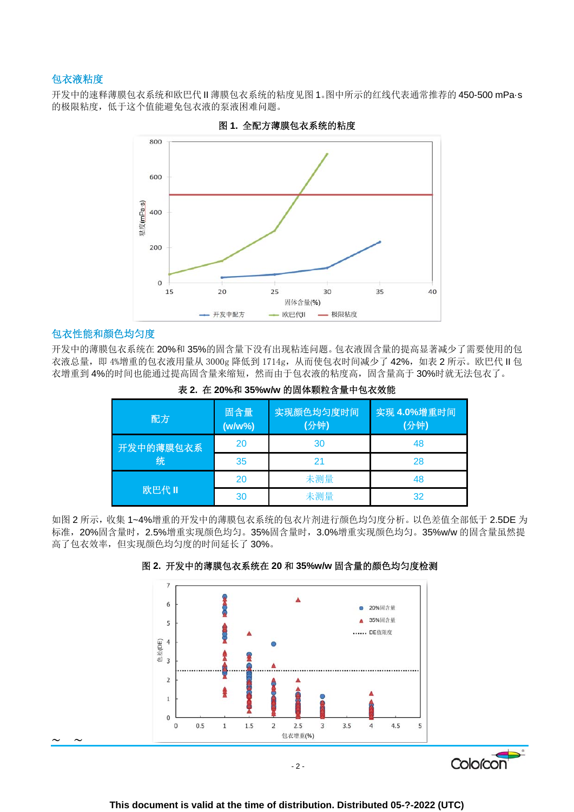## 包衣液粘度

开发中的速释薄膜包衣系统和欧巴代 II 薄膜包衣系统的粘度见图 1。图中所示的红线代表通常推荐的 450-500 mPa·s 的极限粘度,低于这个值能避免包衣液的泵液困难问题。





#### 包衣性能和颜色均匀度

 $\sim$   $\sim$ 

开发中的薄膜包衣系统在 20%和 35%的固含量下没有出现粘连问题。包衣液固含量的提高显著减少了需要使用的包 衣液总量, 即 4%增重的包衣液用量从 3000g 降低到 1714g, 从而使包衣时间减少了 42%, 如表 2 所示。欧巴代Ⅱ包 衣增重到 4%的时间也能通过提高固含量来缩短,然而由于包衣液的粘度高,固含量高于 30%时就无法包衣了。

| 配方             | 固含量<br>$(w/w\%)$ | 实现颜色均匀度时间<br>(分钟) | 实现 4.0%增重时间<br>(分钟) |
|----------------|------------------|-------------------|---------------------|
| 开发中的薄膜包衣系<br>统 | 20               | 30                | 48                  |
|                | 35               | 21                | 28                  |
| 欧巴代 II         | 20               | 未测量               | 48                  |
|                | 30               | 未测量               | 32                  |

表 **2.** 在 **20%**和 **35%w/w** 的固体颗粒含量中包衣效能

如图 2 所示,收集 1~4%增重的开发中的薄膜包衣系统的包衣片剂进行颜色均匀度分析。以色差值全部低于 2.5DE 为 标准, 20%固含量时, 2.5%增重实现颜色均匀。35%固含量时, 3.0%增重实现颜色均匀。35%w/w 的固含量虽然提 高了包衣效率,但实现颜色均匀度的时间延长了 30%。



#### 图 **2.** 开发中的薄膜包衣系统在 **20** 和 **35%w/w** 固含量的颜色均匀度检测

 $-2-$ 

Colorcon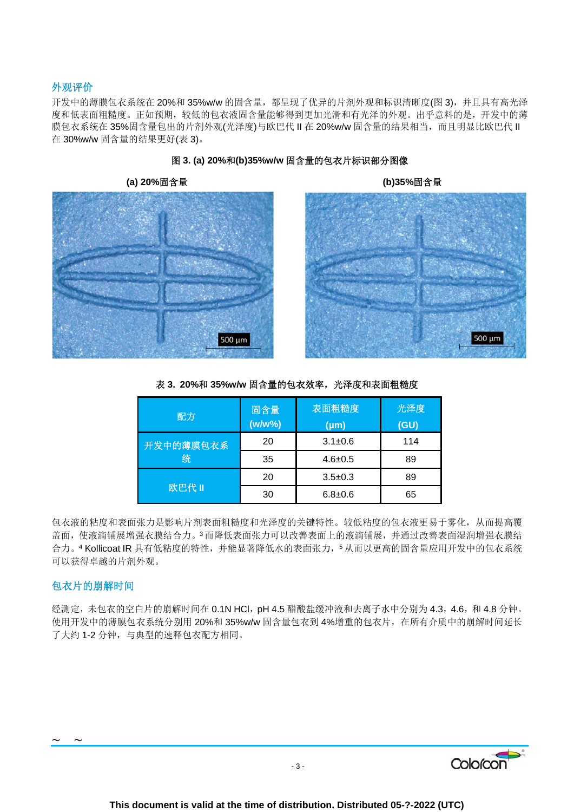## 外观评价

开发中的薄膜包衣系统在 20%和 35%w/w 的固含量,都呈现了优异的片剂外观和标识清晰度(图 3),并且具有高光泽 度和低表面粗糙度。正如预期,较低的包衣液固含量能够得到更加光滑和有光泽的外观。出乎意料的是,开发中的薄 膜包衣系统在 35%固含量包出的片剂外观(光泽度)与欧巴代Ⅱ在 20%w/w 固含量的结果相当, 而且明显比欧巴代Ⅱ 在 30%w/w 固含量的结果更好(表 3)。



图 **3. (a) 20%**和**(b)35%w/w** 固含量的包衣片标识部分图像

500 µm 

| 配方             | 固含量<br>$(w/w\%)$ | 表面粗糙度<br>$(\mu m)$ | 光泽度<br>(GU) |
|----------------|------------------|--------------------|-------------|
| 开发中的薄膜包衣系<br>统 | 20               | $3.1 \pm 0.6$      | 114         |
|                | 35               | $4.6 \pm 0.5$      | 89          |
| 欧巴代 II         | 20               | $3.5 \pm 0.3$      | 89          |
|                | 30               | $6.8 + 0.6$        | 65          |

表 3. 20%和 35%w/w 固含量的包衣效率, 光泽度和表面粗糙度

包衣液的粘度和表面张力是影响片剂表面粗糙度和光泽度的关键特性。较低粘度的包衣液更易于雾化,从而提高覆 盖面,使液滴铺展增强衣膜结合力。3而降低表面张力可以改善表面上的液滴铺展,并通过改善表面湿润增强衣膜结 合力。4 Kollicoat IR 具有低粘度的特性,并能显著降低水的表面张力,5从而以更高的固含量应用开发中的包衣系统 可以获得卓越的片剂外观。

#### 包衣片的崩解时间

 $\sim$   $\sim$ 

经测定,未包衣的空白片的崩解时间在 0.1N HCl, pH 4.5 醋酸盐缓冲液和去离子水中分别为 4.3, 4.6, 和 4.8 分钟。 使用开发中的薄膜包衣系统分别用 20%和 35%w/w 固含量包衣到 4%增重的包衣片,在所有介质中的崩解时间延长 了大约 1-2 分钟,与典型的速释包衣配方相同。